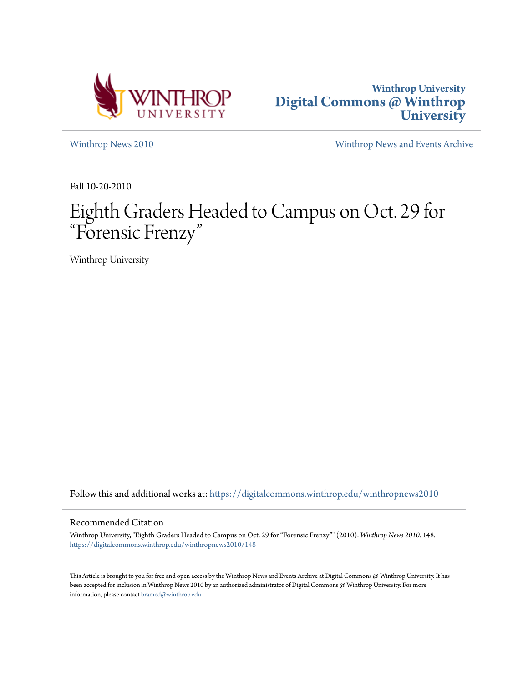



[Winthrop News 2010](https://digitalcommons.winthrop.edu/winthropnews2010?utm_source=digitalcommons.winthrop.edu%2Fwinthropnews2010%2F148&utm_medium=PDF&utm_campaign=PDFCoverPages) [Winthrop News and Events Archive](https://digitalcommons.winthrop.edu/winthropnewsarchives?utm_source=digitalcommons.winthrop.edu%2Fwinthropnews2010%2F148&utm_medium=PDF&utm_campaign=PDFCoverPages)

Fall 10-20-2010

# Eighth Graders Headed to Campus on Oct. 29 for "Forensic Frenzy "

Winthrop University

Follow this and additional works at: [https://digitalcommons.winthrop.edu/winthropnews2010](https://digitalcommons.winthrop.edu/winthropnews2010?utm_source=digitalcommons.winthrop.edu%2Fwinthropnews2010%2F148&utm_medium=PDF&utm_campaign=PDFCoverPages)

#### Recommended Citation

Winthrop University, "Eighth Graders Headed to Campus on Oct. 29 for "Forensic Frenzy"" (2010). *Winthrop News 2010*. 148. [https://digitalcommons.winthrop.edu/winthropnews2010/148](https://digitalcommons.winthrop.edu/winthropnews2010/148?utm_source=digitalcommons.winthrop.edu%2Fwinthropnews2010%2F148&utm_medium=PDF&utm_campaign=PDFCoverPages)

This Article is brought to you for free and open access by the Winthrop News and Events Archive at Digital Commons @ Winthrop University. It has been accepted for inclusion in Winthrop News 2010 by an authorized administrator of Digital Commons @ Winthrop University. For more information, please contact [bramed@winthrop.edu](mailto:bramed@winthrop.edu).